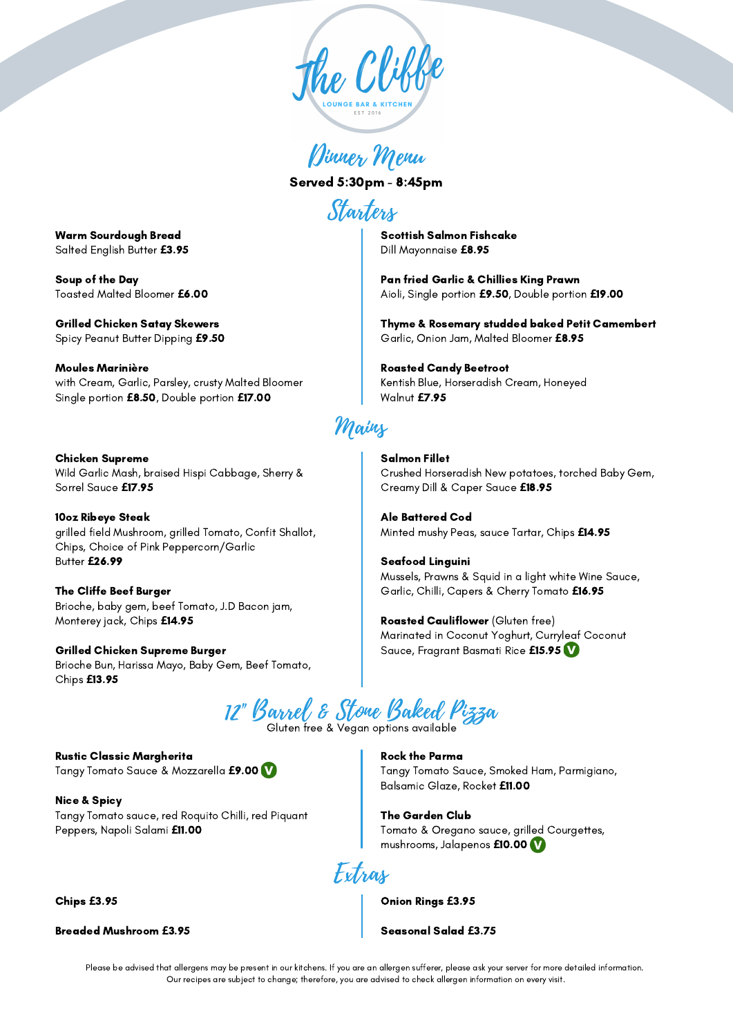

Dinner Menu

Served 5:30pm - 8:45pm

Starters

Scottish Salmon Fishcake Dill Mayonnaise **£**8.95

Pan fried Garlic & Chillies King Prawn Aioli, Single portion **£**9.50, Double portion **£**19.00

Thyme & Rosemary studded baked Petit Camembert Garlic, Onion Jam, Malted Bloomer **£**8.95

## Roasted Candy Beetroot

Kentish Blue, Horseradish Cream, Honeyed Walnut **£**7.95

## Mains

Salmon Fillet Crushed Horseradish New potatoes, torched Baby Gem, Creamy Dill & Caper Sauce **£**18.95

Ale Battered Cod Minted mushy Peas, sauce Tartar, Chips **£**14.95

Seafood Linguini Mussels, Prawns & Squid in a light white Wine Sauce, Garlic, Chilli, Capers & Cherry Tomato **£**16.95

Roasted Cauliflower (Gluten free) Marinated in Coconut Yoghurt, Curryleaf Coconut Sauce, Fragrant Basmati Rice **£**15.95

12" Barrel & Stone Baked Pizza

Gluten free & Vegan options available

Rustic Classic Margherita Tangy Tomato Sauce & Mozzarella **£**9.00

Nice & Spicy Tangy Tomato sauce, red Roquito Chilli, red Piquant Peppers, Napoli Salami **£**11.00

Chips **£**3.95

Breaded Mushroom **£**3.95

Rock the Parma Tangy Tomato Sauce, Smoked Ham, Parmigiano, Balsamic Glaze, Rocket **£**11.00

The Garden Club Tomato & Oregano sauce, grilled Courgettes, mushrooms, Jalapenos **£**10.00

Extras

Onion Rings **£**3.95

Seasonal Salad **£**3.75

Please be advised that allergens may be present in our kitchens. If you are an allergen sufferer, please ask your server for more detailed information. Our recipes are subject to change; therefore, you are advised to check allergen information on every visit.

Warm Sourdough Bread Salted English Butter **£**3.95

Soup of the Day Toasted Malted Bloomer **£**6.00

Grilled Chicken Satay Skewers Spicy Peanut Butter Dipping **£**9.50

Moules Marinière with Cream, Garlic, Parsley, crusty Malted Bloomer Single portion **£**8.50, Double portion **£**17.00

Chicken Supreme Wild Garlic Mash, braised Hispi Cabbage, Sherry & Sorrel Sauce **£**17.95

10oz Ribeye Steak grilled field Mushroom, grilled Tomato, Confit Shallot, Chips, Choice of Pink Peppercorn/Garlic Butter **£**26.99

The Cliffe Beef Burger Brioche, baby gem, beef Tomato, J.D Bacon jam, Monterey jack, Chips **£**14.95

Grilled Chicken Supreme Burger Brioche Bun, Harissa Mayo, Baby Gem, Beef Tomato, Chips **£**13.95